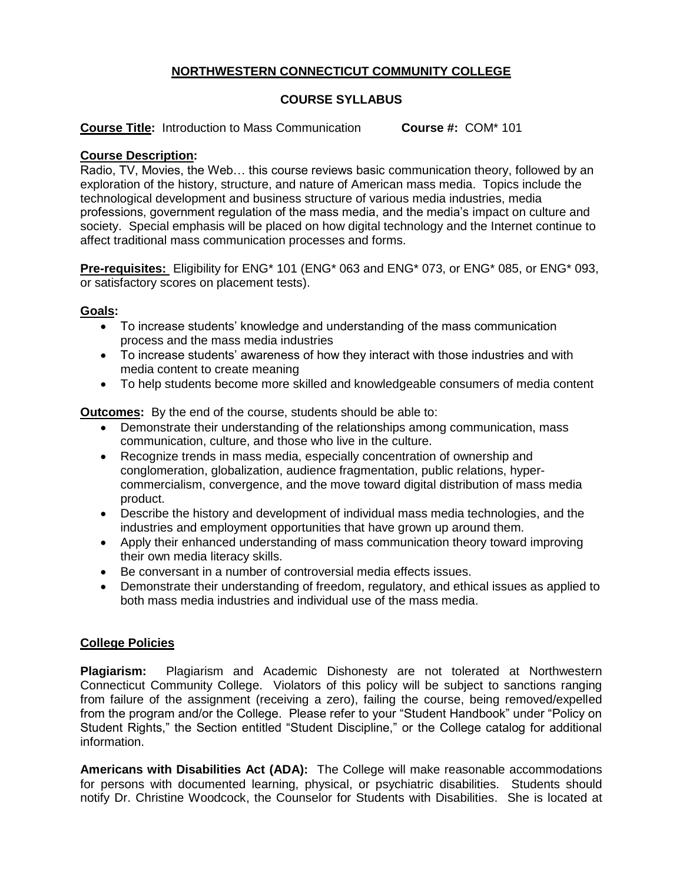# **NORTHWESTERN CONNECTICUT COMMUNITY COLLEGE**

## **COURSE SYLLABUS**

**Course Title:** Introduction to Mass Communication **Course #:** COM\* 101

### **Course Description:**

Radio, TV, Movies, the Web… this course reviews basic communication theory, followed by an exploration of the history, structure, and nature of American mass media. Topics include the technological development and business structure of various media industries, media professions, government regulation of the mass media, and the media's impact on culture and society. Special emphasis will be placed on how digital technology and the Internet continue to affect traditional mass communication processes and forms.

**Pre-requisites:** Eligibility for ENG\* 101 (ENG\* 063 and ENG\* 073, or ENG\* 085, or ENG\* 093, or satisfactory scores on placement tests).

### **Goals:**

- To increase students' knowledge and understanding of the mass communication process and the mass media industries
- To increase students' awareness of how they interact with those industries and with media content to create meaning
- To help students become more skilled and knowledgeable consumers of media content

**Outcomes:** By the end of the course, students should be able to:

- Demonstrate their understanding of the relationships among communication, mass communication, culture, and those who live in the culture.
- Recognize trends in mass media, especially concentration of ownership and conglomeration, globalization, audience fragmentation, public relations, hypercommercialism, convergence, and the move toward digital distribution of mass media product.
- Describe the history and development of individual mass media technologies, and the industries and employment opportunities that have grown up around them.
- Apply their enhanced understanding of mass communication theory toward improving their own media literacy skills.
- Be conversant in a number of controversial media effects issues.
- Demonstrate their understanding of freedom, regulatory, and ethical issues as applied to both mass media industries and individual use of the mass media.

### **College Policies**

**Plagiarism:** Plagiarism and Academic Dishonesty are not tolerated at Northwestern Connecticut Community College. Violators of this policy will be subject to sanctions ranging from failure of the assignment (receiving a zero), failing the course, being removed/expelled from the program and/or the College. Please refer to your "Student Handbook" under "Policy on Student Rights," the Section entitled "Student Discipline," or the College catalog for additional information.

**Americans with Disabilities Act (ADA):** The College will make reasonable accommodations for persons with documented learning, physical, or psychiatric disabilities. Students should notify Dr. Christine Woodcock, the Counselor for Students with Disabilities. She is located at